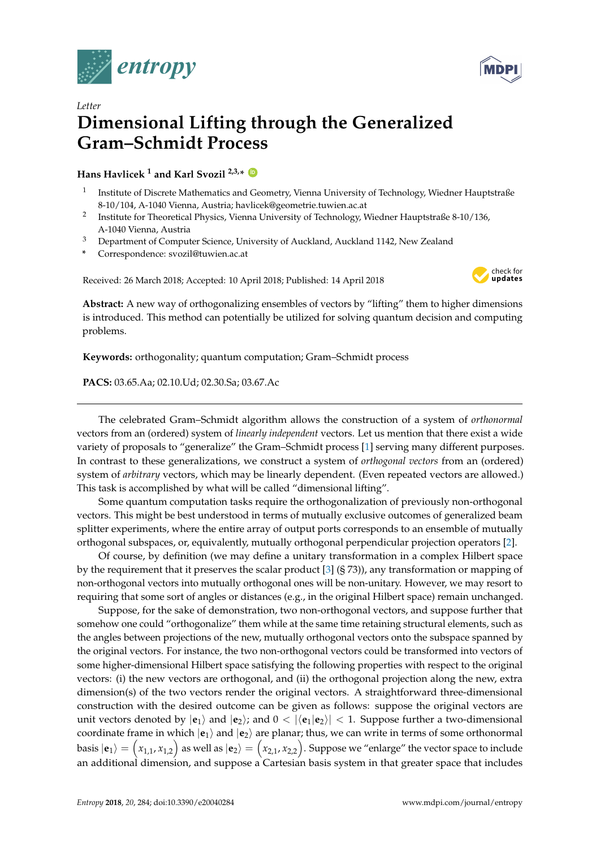



## *Letter* **Dimensional Lifting through the Generalized Gram–Schmidt Process**

**Hans Havlicek <sup>1</sup> and Karl Svozil 2,3,\* [ID](https://orcid.org/0000-0001-6554-2802)**

- 1 Institute of Discrete Mathematics and Geometry, Vienna University of Technology, Wiedner Hauptstraße 8-10/104, A-1040 Vienna, Austria; havlicek@geometrie.tuwien.ac.at
- 2 Institute for Theoretical Physics, Vienna University of Technology, Wiedner Hauptstraße 8-10/136, A-1040 Vienna, Austria
- <sup>3</sup> Department of Computer Science, University of Auckland, Auckland 1142, New Zealand
- **\*** Correspondence: svozil@tuwien.ac.at

Received: 26 March 2018; Accepted: 10 April 2018; Published: 14 April 2018



**Abstract:** A new way of orthogonalizing ensembles of vectors by "lifting" them to higher dimensions is introduced. This method can potentially be utilized for solving quantum decision and computing problems.

**Keywords:** orthogonality; quantum computation; Gram–Schmidt process

**PACS:** 03.65.Aa; 02.10.Ud; 02.30.Sa; 03.67.Ac

The celebrated Gram–Schmidt algorithm allows the construction of a system of *orthonormal* vectors from an (ordered) system of *linearly independent* vectors. Let us mention that there exist a wide variety of proposals to "generalize" the Gram–Schmidt process [\[1\]](#page-3-0) serving many different purposes. In contrast to these generalizations, we construct a system of *orthogonal vectors* from an (ordered) system of *arbitrary* vectors, which may be linearly dependent. (Even repeated vectors are allowed.) This task is accomplished by what will be called "dimensional lifting".

Some quantum computation tasks require the orthogonalization of previously non-orthogonal vectors. This might be best understood in terms of mutually exclusive outcomes of generalized beam splitter experiments, where the entire array of output ports corresponds to an ensemble of mutually orthogonal subspaces, or, equivalently, mutually orthogonal perpendicular projection operators [\[2\]](#page-3-1).

Of course, by definition (we may define a unitary transformation in a complex Hilbert space by the requirement that it preserves the scalar product [\[3\]](#page-3-2) (§ 73)), any transformation or mapping of non-orthogonal vectors into mutually orthogonal ones will be non-unitary. However, we may resort to requiring that some sort of angles or distances (e.g., in the original Hilbert space) remain unchanged.

Suppose, for the sake of demonstration, two non-orthogonal vectors, and suppose further that somehow one could "orthogonalize" them while at the same time retaining structural elements, such as the angles between projections of the new, mutually orthogonal vectors onto the subspace spanned by the original vectors. For instance, the two non-orthogonal vectors could be transformed into vectors of some higher-dimensional Hilbert space satisfying the following properties with respect to the original vectors: (i) the new vectors are orthogonal, and (ii) the orthogonal projection along the new, extra dimension(s) of the two vectors render the original vectors. A straightforward three-dimensional construction with the desired outcome can be given as follows: suppose the original vectors are unit vectors denoted by  $|\mathbf{e}_1\rangle$  and  $|\mathbf{e}_2\rangle$ ; and  $0 < |\langle \mathbf{e}_1 | \mathbf{e}_2 \rangle| < 1$ . Suppose further a two-dimensional coordinate frame in which  $|\mathbf{e}_1\rangle$  and  $|\mathbf{e}_2\rangle$  are planar; thus, we can write in terms of some orthonormal basis  $\ket{\mathbf{e}_1}=\Big(x_{1,1},x_{1,2}\Big)$  as well as  $\ket{\mathbf{e}_2}=\Big(x_{2,1},x_{2,2}\Big).$  Suppose we "enlarge" the vector space to include an additional dimension, and suppose a Cartesian basis system in that greater space that includes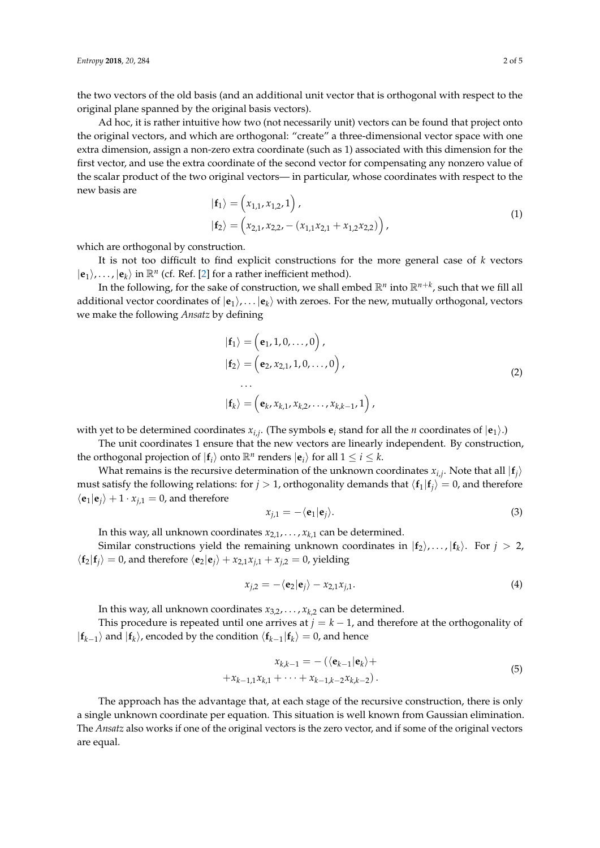the two vectors of the old basis (and an additional unit vector that is orthogonal with respect to the original plane spanned by the original basis vectors).

Ad hoc, it is rather intuitive how two (not necessarily unit) vectors can be found that project onto the original vectors, and which are orthogonal: "create" a three-dimensional vector space with one extra dimension, assign a non-zero extra coordinate (such as 1) associated with this dimension for the first vector, and use the extra coordinate of the second vector for compensating any nonzero value of the scalar product of the two original vectors— in particular, whose coordinates with respect to the new basis are

$$
|\mathbf{f}_1\rangle = (x_{1,1}, x_{1,2}, 1),
$$
  

$$
|\mathbf{f}_2\rangle = (x_{2,1}, x_{2,2}, -(x_{1,1}x_{2,1} + x_{1,2}x_{2,2})),
$$
 (1)

which are orthogonal by construction.

It is not too difficult to find explicit constructions for the more general case of *k* vectors  $|\mathbf{e}_1\rangle$ ,...,  $|\mathbf{e}_k\rangle$  in  $\mathbb{R}^n$  (cf. Ref. [\[2\]](#page-3-1) for a rather inefficient method).

In the following, for the sake of construction, we shall embed  $\mathbb{R}^n$  into  $\mathbb{R}^{n+k}$ , such that we fill all additional vector coordinates of  $|\mathbf{e}_1\rangle$ ,... $|\mathbf{e}_k\rangle$  with zeroes. For the new, mutually orthogonal, vectors we make the following *Ansatz* by defining

<span id="page-1-0"></span>
$$
\begin{aligned} \n\vert \mathbf{f}_1 \rangle &= \left( \mathbf{e}_1, 1, 0, \dots, 0 \right), \\ \n\vert \mathbf{f}_2 \rangle &= \left( \mathbf{e}_2, x_{2,1}, 1, 0, \dots, 0 \right), \\ \n\cdots \\ \n\vert \mathbf{f}_k \rangle &= \left( \mathbf{e}_k, x_{k,1}, x_{k,2}, \dots, x_{k,k-1}, 1 \right), \n\end{aligned} \tag{2}
$$

with yet to be determined coordinates  $x_{i,j}$ . (The symbols  $e_i$  stand for all the *n* coordinates of  $|e_1\rangle$ .)

The unit coordinates 1 ensure that the new vectors are linearly independent. By construction, the orthogonal projection of  $| \mathbf{f}_i \rangle$  onto  $\mathbb{R}^n$  renders  $| \mathbf{e}_i \rangle$  for all  $1 \leq i \leq k$ .

What remains is the recursive determination of the unknown coordinates  $x_{i,j}$ . Note that all  $|\mathbf{f}_j\rangle$ must satisfy the following relations: for  $j > 1$ , orthogonality demands that  $\langle \mathbf{f}_1 | \mathbf{f}_j \rangle = 0$ , and therefore  $\langle \mathbf{e}_1 | \mathbf{e}_j \rangle + 1 \cdot x_{j,1} = 0$ , and therefore

$$
x_{j,1} = -\langle \mathbf{e}_1 | \mathbf{e}_j \rangle. \tag{3}
$$

In this way, all unknown coordinates  $x_{2,1}, \ldots, x_{k,1}$  can be determined.

Similar constructions yield the remaining unknown coordinates in  $|{\bf f}_2\rangle$ ,...,  $|{\bf f}_k\rangle$ . For  $j > 2$ ,  $\langle \mathbf{f}_2 | \mathbf{f}_i \rangle = 0$ , and therefore  $\langle \mathbf{e}_2 | \mathbf{e}_i \rangle + x_{2,1} x_{i,1} + x_{i,2} = 0$ , yielding

$$
x_{j,2} = -\langle \mathbf{e}_2 | \mathbf{e}_j \rangle - x_{2,1} x_{j,1}.
$$
 (4)

In this way, all unknown coordinates  $x_{3,2}, \ldots, x_{k,2}$  can be determined.

This procedure is repeated until one arrives at  $j = k - 1$ , and therefore at the orthogonality of  $|{\bf{f}}_{k-1}\rangle$  and  $|{\bf{f}}_k\rangle$ , encoded by the condition  $\langle {\bf{f}}_{k-1}|{\bf{f}}_k\rangle = 0$ , and hence

$$
x_{k,k-1} = -(\langle \mathbf{e}_{k-1} | \mathbf{e}_k \rangle ++ x_{k-1,1} x_{k,1} + \dots + x_{k-1,k-2} x_{k,k-2}).
$$
\n(5)

The approach has the advantage that, at each stage of the recursive construction, there is only a single unknown coordinate per equation. This situation is well known from Gaussian elimination. The *Ansatz* also works if one of the original vectors is the zero vector, and if some of the original vectors are equal.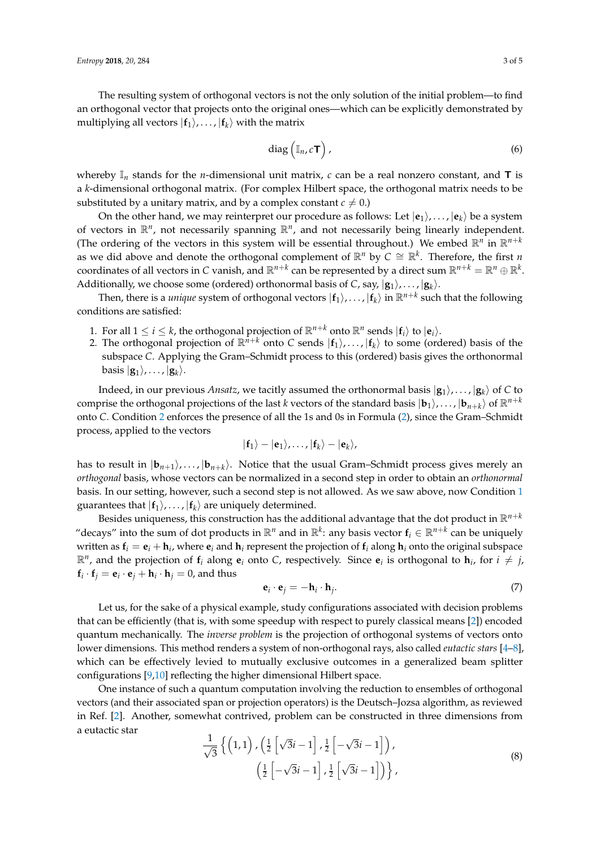The resulting system of orthogonal vectors is not the only solution of the initial problem—to find an orthogonal vector that projects onto the original ones—which can be explicitly demonstrated by multiplying all vectors  $|{\bf f}_1\rangle, \ldots, |{\bf f}_k\rangle$  with the matrix

$$
\text{diag}\left(\mathbb{I}_n, c\mathsf{T}\right),\tag{6}
$$

whereby  $\mathbb{I}_n$  stands for the *n*-dimensional unit matrix, *c* can be a real nonzero constant, and **T** is a *k*-dimensional orthogonal matrix. (For complex Hilbert space, the orthogonal matrix needs to be substituted by a unitary matrix, and by a complex constant  $c \neq 0$ .)

On the other hand, we may reinterpret our procedure as follows: Let  $|\mathbf{e}_1\rangle, \ldots, |\mathbf{e}_k\rangle$  be a system of vectors in  $\mathbb{R}^n$ , not necessarily spanning  $\mathbb{R}^n$ , and not necessarily being linearly independent. (The ordering of the vectors in this system will be essential throughout.) We embed  $\mathbb{R}^n$  in  $\mathbb{R}^{n+k}$ as we did above and denote the orthogonal complement of  $\mathbb{R}^n$  by  $C \cong \mathbb{R}^k$ . Therefore, the first *n* coordinates of all vectors in  $C$  vanish, and  $\mathbb{R}^{n+k}$  can be represented by a direct sum  $\mathbb{R}^{n+k}=\mathbb{R}^n\oplus\mathbb{R}^k.$ Additionally, we choose some (ordered) orthonormal basis of *C*, say,  $|\mathbf{g}_1\rangle$ ,...,  $|\mathbf{g}_k\rangle$ .

Then, there is a *unique* system of orthogonal vectors  $|f_1\rangle$ , . . . ,  $|f_k\rangle$  in  $\mathbb{R}^{n+k}$  such that the following conditions are satisfied:

- <span id="page-2-1"></span>1. For all  $1 \leq i \leq k$ , the orthogonal projection of  $\mathbb{R}^{n+k}$  onto  $\mathbb{R}^n$  sends  $|\mathbf{f}_i\rangle$  to  $|\mathbf{e}_i\rangle$ .
- <span id="page-2-0"></span>2. The orthogonal projection of  $\mathbb{R}^{n+k}$  onto *C* sends  $|f_1\rangle, \ldots, |f_k\rangle$  to some (ordered) basis of the subspace *C*. Applying the Gram–Schmidt process to this (ordered) basis gives the orthonormal basis  $|\mathbf{g}_1\rangle, \ldots, |\mathbf{g}_k\rangle.$

Indeed, in our previous *Ansatz,* we tacitly assumed the orthonormal basis  $|\mathbf{g}_1\rangle,\ldots,|\mathbf{g}_k\rangle$  of  $C$  to comprise the orthogonal projections of the last *k* vectors of the standard basis  $|\mathbf{b}_1\rangle$ ,...,  $|\mathbf{b}_{n+k}\rangle$  of  $\mathbb{R}^{n+k}$ onto *C*. Condition [2](#page-2-0) enforces the presence of all the 1s and 0s in Formula [\(2\)](#page-1-0), since the Gram–Schmidt process, applied to the vectors

$$
|\mathbf{f}_1\rangle-|\mathbf{e}_1\rangle,\ldots,|\mathbf{f}_k\rangle-|\mathbf{e}_k\rangle,
$$

has to result in  $|\mathbf{b}_{n+1}\rangle$ ,...,  $|\mathbf{b}_{n+k}\rangle$ . Notice that the usual Gram–Schmidt process gives merely an *orthogonal* basis, whose vectors can be normalized in a second step in order to obtain an *orthonormal* basis. In our setting, however, such a second step is not allowed. As we saw above, now Condition [1](#page-2-1) guarantees that  $|\textbf{f}_1\rangle$ , $\dots$ ,  $|\textbf{f}_k\rangle$  are uniquely determined.

Besides uniqueness, this construction has the additional advantage that the dot product in  $\mathbb{R}^{n+k}$ "decays" into the sum of dot products in  $\mathbb{R}^n$  and in  $\mathbb{R}^k$ : any basis vector  $f_i \in \mathbb{R}^{n+k}$  can be uniquely written as  $f_i = e_i + h_i$ , where  $e_i$  and  $h_i$  represent the projection of  $f_i$  along  $h_i$  onto the original subspace  $\mathbb{R}^n$ , and the projection of  $f_i$  along  $e_i$  onto C, respectively. Since  $e_i$  is orthogonal to  $h_i$ , for  $i \neq j$ ,  $\mathbf{f}_i \cdot \mathbf{f}_j = \mathbf{e}_i \cdot \mathbf{e}_j + \mathbf{h}_i \cdot \mathbf{h}_j = 0$ , and thus

$$
\mathbf{e}_i \cdot \mathbf{e}_j = -\mathbf{h}_i \cdot \mathbf{h}_j. \tag{7}
$$

Let us, for the sake of a physical example, study configurations associated with decision problems that can be efficiently (that is, with some speedup with respect to purely classical means [\[2\]](#page-3-1)) encoded quantum mechanically. The *inverse problem* is the projection of orthogonal systems of vectors onto lower dimensions. This method renders a system of non-orthogonal rays, also called *eutactic stars* [\[4](#page-3-3)[–8\]](#page-4-0), which can be effectively levied to mutually exclusive outcomes in a generalized beam splitter configurations [\[9,](#page-4-1)[10\]](#page-4-2) reflecting the higher dimensional Hilbert space.

One instance of such a quantum computation involving the reduction to ensembles of orthogonal vectors (and their associated span or projection operators) is the Deutsch–Jozsa algorithm, as reviewed in Ref. [\[2\]](#page-3-1). Another, somewhat contrived, problem can be constructed in three dimensions from a eutactic star

$$
\frac{1}{\sqrt{3}}\left\{ \left(1,1\right), \left(\frac{1}{2}\left[\sqrt{3}i-1\right], \frac{1}{2}\left[-\sqrt{3}i-1\right]\right), \left(\frac{1}{2}\left[-\sqrt{3}i-1\right], \frac{1}{2}\left[\sqrt{3}i-1\right]\right) \right\},\tag{8}
$$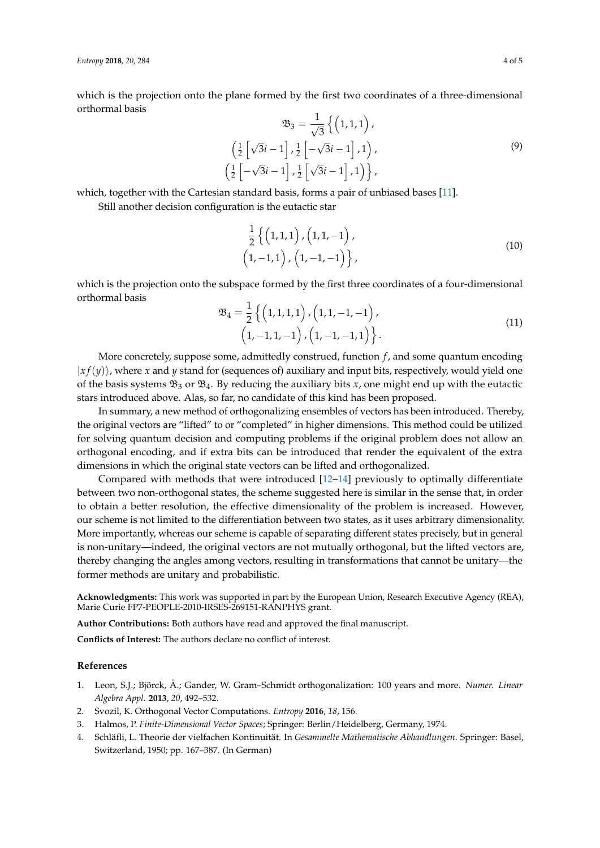which is the projection onto the plane formed by the first two coordinates of a three-dimensional orthormal basis

$$
\mathfrak{B}_3 = \frac{1}{\sqrt{3}} \left\{ \left( 1, 1, 1 \right), \left( \frac{1}{2} \left[ \sqrt{3}i - 1 \right], \frac{1}{2} \left[ -\sqrt{3}i - 1 \right], 1 \right), \left( \frac{1}{2} \left[ -\sqrt{3}i - 1 \right], \frac{1}{2} \left[ \sqrt{3}i - 1 \right], 1 \right) \right\},\tag{9}
$$

which, together with the Cartesian standard basis, forms a pair of unbiased bases [\[11\]](#page-4-3).

Still another decision configuration is the eutactic star

 $\sqrt{ }$ 

$$
\frac{1}{2}\left\{ \left(1,1,1\right), \left(1,1,-1\right), \\ \left(1,-1,1\right), \left(1,-1,-1\right) \right\}, \tag{10}
$$

which is the projection onto the subspace formed by the first three coordinates of a four-dimensional orthormal basis

$$
\mathfrak{B}_4 = \frac{1}{2} \left\{ \left( 1, 1, 1, 1 \right), \left( 1, 1, -1, -1 \right), \left( 1, -1, 1, -1 \right) \right\}.
$$
\n
$$
(11)
$$

More concretely, suppose some, admittedly construed, function *f*, and some quantum encoding  $|x f(y)\rangle$ , where *x* and *y* stand for (sequences of) auxiliary and input bits, respectively, would yield one of the basis systems  $\mathfrak{B}_3$  or  $\mathfrak{B}_4$ . By reducing the auxiliary bits *x*, one might end up with the eutactic stars introduced above. Alas, so far, no candidate of this kind has been proposed.

In summary, a new method of orthogonalizing ensembles of vectors has been introduced. Thereby, the original vectors are "lifted" to or "completed" in higher dimensions. This method could be utilized for solving quantum decision and computing problems if the original problem does not allow an orthogonal encoding, and if extra bits can be introduced that render the equivalent of the extra dimensions in which the original state vectors can be lifted and orthogonalized.

Compared with methods that were introduced [\[12](#page-4-4)[–14\]](#page-4-5) previously to optimally differentiate between two non-orthogonal states, the scheme suggested here is similar in the sense that, in order to obtain a better resolution, the effective dimensionality of the problem is increased. However, our scheme is not limited to the differentiation between two states, as it uses arbitrary dimensionality. More importantly, whereas our scheme is capable of separating different states precisely, but in general is non-unitary—indeed, the original vectors are not mutually orthogonal, but the lifted vectors are, thereby changing the angles among vectors, resulting in transformations that cannot be unitary—the former methods are unitary and probabilistic.

**Acknowledgments:** This work was supported in part by the European Union, Research Executive Agency (REA), Marie Curie FP7-PEOPLE-2010-IRSES-269151-RANPHYS grant.

**Author Contributions:** Both authors have read and approved the final manuscript.

**Conflicts of Interest:** The authors declare no conflict of interest.

## **References**

- <span id="page-3-0"></span>1. Leon, S.J.; Björck, Å.; Gander, W. Gram–Schmidt orthogonalization: 100 years and more. *Numer. Linear Algebra Appl.* **2013**, *20*, 492–532.
- <span id="page-3-1"></span>2. Svozil, K. Orthogonal Vector Computations. *Entropy* **2016**, *18*, 156.
- <span id="page-3-2"></span>3. Halmos, P. *Finite-Dimensional Vector Spaces*; Springer: Berlin/Heidelberg, Germany, 1974.
- <span id="page-3-3"></span>4. Schläfli, L. Theorie der vielfachen Kontinuität. In *Gesammelte Mathematische Abhandlungen*. Springer: Basel, Switzerland, 1950; pp. 167–387. (In German)